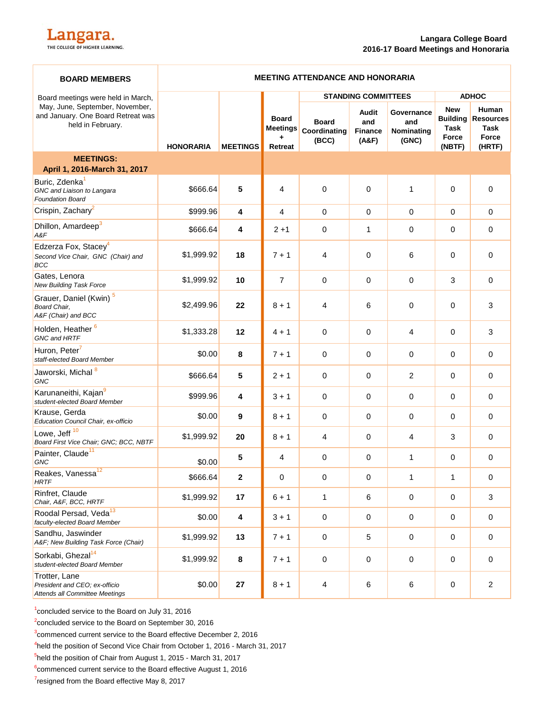| <b>BOARD MEMBERS</b>                                                                       | <b>MEETING ATTENDANCE AND HONORARIA</b> |                         |                                                        |                                       |                                  |                                          |                                                          |                                                      |
|--------------------------------------------------------------------------------------------|-----------------------------------------|-------------------------|--------------------------------------------------------|---------------------------------------|----------------------------------|------------------------------------------|----------------------------------------------------------|------------------------------------------------------|
| Board meetings were held in March,                                                         |                                         |                         |                                                        | <b>STANDING COMMITTEES</b>            |                                  |                                          | <b>ADHOC</b>                                             |                                                      |
| May, June, September, November,<br>and January. One Board Retreat was<br>held in February. | <b>HONORARIA</b>                        | <b>MEETINGS</b>         | <b>Board</b><br><b>Meetings</b><br>٠<br><b>Retreat</b> | <b>Board</b><br>Coordinating<br>(BCC) | Audit<br>and<br>Finance<br>(A&F) | Governance<br>and<br>Nominating<br>(GNC) | <b>New</b><br><b>Building</b><br>Task<br>Force<br>(NBTF) | Human<br><b>Resources</b><br>Task<br>Force<br>(HRTF) |
| <b>MEETINGS:</b><br>April 1, 2016-March 31, 2017                                           |                                         |                         |                                                        |                                       |                                  |                                          |                                                          |                                                      |
| Buric, Zdenka <sup>1</sup><br>GNC and Liaison to Langara<br><b>Foundation Board</b>        | \$666.64                                | 5                       | 4                                                      | $\Omega$                              | $\mathbf 0$                      | 1                                        | $\Omega$                                                 | $\Omega$                                             |
| Crispin, Zachary <sup>2</sup>                                                              | \$999.96                                | $\overline{\mathbf{4}}$ | $\overline{4}$                                         | 0                                     | $\mathbf 0$                      | $\mathbf 0$                              | $\mathbf 0$                                              | 0                                                    |
| Dhillon, Amardeep <sup>3</sup><br>A&F                                                      | \$666.64                                | 4                       | $2 + 1$                                                | 0                                     | 1                                | 0                                        | 0                                                        | 0                                                    |
| Edzerza Fox, Stacey <sup>4</sup><br>Second Vice Chair, GNC (Chair) and<br>BCC              | \$1,999.92                              | 18                      | $7 + 1$                                                | 4                                     | $\mathbf 0$                      | 6                                        | 0                                                        | 0                                                    |
| Gates, Lenora<br>New Building Task Force                                                   | \$1,999.92                              | 10                      | $\overline{7}$                                         | 0                                     | 0                                | 0                                        | 3                                                        | $\mathbf 0$                                          |
| Grauer, Daniel (Kwin) <sup>5</sup><br>Board Chair,<br>A&F (Chair) and BCC                  | \$2,499.96                              | 22                      | $8 + 1$                                                | 4                                     | 6                                | 0                                        | 0                                                        | 3                                                    |
| Holden, Heather <sup>6</sup><br>GNC and HRTF                                               | \$1,333.28                              | 12                      | $4 + 1$                                                | 0                                     | $\mathbf 0$                      | $\overline{4}$                           | $\mathbf 0$                                              | 3                                                    |
| Huron, Peter <sup>7</sup><br>staff-elected Board Member                                    | \$0.00                                  | 8                       | $7 + 1$                                                | 0                                     | $\mathbf 0$                      | 0                                        | 0                                                        | 0                                                    |
| Jaworski, Michal <sup>8</sup><br>GNC                                                       | \$666.64                                | 5                       | $2 + 1$                                                | 0                                     | 0                                | $\overline{c}$                           | 0                                                        | 0                                                    |
| Karunaneithi, Kajan <sup>9</sup><br>student-elected Board Member                           | \$999.96                                | 4                       | $3 + 1$                                                | 0                                     | $\mathbf 0$                      | 0                                        | 0                                                        | 0                                                    |
| Krause, Gerda<br>Education Council Chair, ex-officio                                       | \$0.00                                  | 9                       | $8 + 1$                                                | 0                                     | 0                                | 0                                        | 0                                                        | 0                                                    |
| Lowe, Jeff <sup>10</sup><br>Board First Vice Chair; GNC; BCC, NBTF                         | \$1,999.92                              | 20                      | $8 + 1$                                                | 4                                     | $\mathbf 0$                      | $\overline{4}$                           | 3                                                        | 0                                                    |
| Painter, Claude <sup>11</sup><br><b>GNC</b>                                                | \$0.00                                  | 5                       | $\overline{4}$                                         | 0                                     | 0                                | 1                                        | 0                                                        | 0                                                    |
| Reakes, Vanessa <sup>12</sup><br><b>HRTF</b>                                               | \$666.64                                | 2                       | $\mathsf{O}\xspace$                                    | 0                                     | 0                                | $\mathbf{1}$                             | $\mathbf{1}$                                             | 0                                                    |
| Rinfret, Claude<br>Chair, A&F, BCC, HRTF                                                   | \$1,999.92                              | 17                      | $6 + 1$                                                | 1                                     | 6                                | $\pmb{0}$                                | 0                                                        | 3                                                    |
| Roodal Persad, Veda <sup>13</sup><br>faculty-elected Board Member                          | \$0.00                                  | $\overline{\mathbf{4}}$ | $3 + 1$                                                | $\mathbf 0$                           | $\mathbf 0$                      | $\pmb{0}$                                | 0                                                        | $\mathbf 0$                                          |
| Sandhu, Jaswinder<br>A&F New Building Task Force (Chair)                                   | \$1,999.92                              | 13                      | $7 + 1$                                                | $\mathsf 0$                           | 5                                | $\pmb{0}$                                | $\mathbf 0$                                              | $\mathbf 0$                                          |
| Sorkabi, Ghezal <sup>14</sup><br>student-elected Board Member                              | \$1,999.92                              | $\pmb{8}$               | $7 + 1$                                                | 0                                     | $\mathbf 0$                      | $\pmb{0}$                                | $\mathbf 0$                                              | 0                                                    |
| Trotter, Lane<br>President and CEO; ex-officio<br>Attends all Committee Meetings           | \$0.00                                  | 27                      | $8 + 1$                                                | 4                                     | 6                                | $\,6$                                    | 0                                                        | $\overline{c}$                                       |

<sup>1</sup> concluded service to the Board on July 31, 2016

<sup>2</sup>concluded service to the Board on September 30, 2016

 $3$ commenced current service to the Board effective December 2, 2016

4 held the position of Second Vice Chair from October 1, 2016 - March 31, 2017

<sup>5</sup>held the position of Chair from August 1, 2015 - March 31, 2017

<sup>6</sup> commenced current service to the Board effective August 1, 2016

<sup>7</sup>resigned from the Board effective May 8, 2017